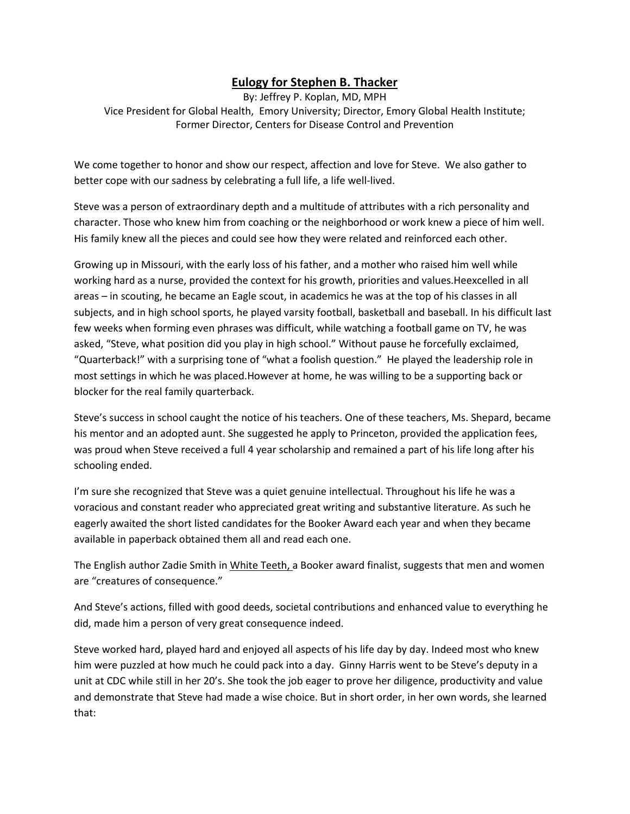## **Eulogy for Stephen B. Thacker**

By: Jeffrey P. Koplan, MD, MPH Vice President for Global Health, Emory University; Director, Emory Global Health Institute; Former Director, Centers for Disease Control and Prevention

We come together to honor and show our respect, affection and love for Steve. We also gather to better cope with our sadness by celebrating a full life, a life well-lived.

Steve was a person of extraordinary depth and a multitude of attributes with a rich personality and character. Those who knew him from coaching or the neighborhood or work knew a piece of him well. His family knew all the pieces and could see how they were related and reinforced each other.

Growing up in Missouri, with the early loss of his father, and a mother who raised him well while working hard as a nurse, provided the context for his growth, priorities and values.Heexcelled in all areas – in scouting, he became an Eagle scout, in academics he was at the top of his classes in all subjects, and in high school sports, he played varsity football, basketball and baseball. In his difficult last few weeks when forming even phrases was difficult, while watching a football game on TV, he was asked, "Steve, what position did you play in high school." Without pause he forcefully exclaimed, "Quarterback!" with a surprising tone of "what a foolish question." He played the leadership role in most settings in which he was placed.However at home, he was willing to be a supporting back or blocker for the real family quarterback.

Steve's success in school caught the notice of his teachers. One of these teachers, Ms. Shepard, became his mentor and an adopted aunt. She suggested he apply to Princeton, provided the application fees, was proud when Steve received a full 4 year scholarship and remained a part of his life long after his schooling ended.

I'm sure she recognized that Steve was a quiet genuine intellectual. Throughout his life he was a voracious and constant reader who appreciated great writing and substantive literature. As such he eagerly awaited the short listed candidates for the Booker Award each year and when they became available in paperback obtained them all and read each one.

The English author Zadie Smith in White Teeth, a Booker award finalist, suggests that men and women are "creatures of consequence."

And Steve's actions, filled with good deeds, societal contributions and enhanced value to everything he did, made him a person of very great consequence indeed.

Steve worked hard, played hard and enjoyed all aspects of his life day by day. Indeed most who knew him were puzzled at how much he could pack into a day. Ginny Harris went to be Steve's deputy in a unit at CDC while still in her 20's. She took the job eager to prove her diligence, productivity and value and demonstrate that Steve had made a wise choice. But in short order, in her own words, she learned that: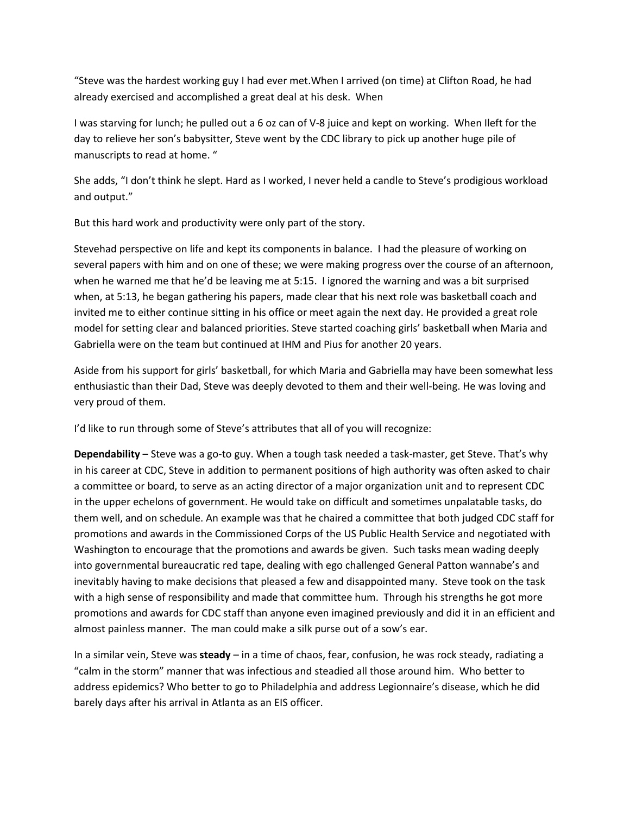"Steve was the hardest working guy I had ever met.When I arrived (on time) at Clifton Road, he had already exercised and accomplished a great deal at his desk. When

I was starving for lunch; he pulled out a 6 oz can of V-8 juice and kept on working. When Ileft for the day to relieve her son's babysitter, Steve went by the CDC library to pick up another huge pile of manuscripts to read at home. "

She adds, "I don't think he slept. Hard as I worked, I never held a candle to Steve's prodigious workload and output."

But this hard work and productivity were only part of the story.

Stevehad perspective on life and kept its components in balance. I had the pleasure of working on several papers with him and on one of these; we were making progress over the course of an afternoon, when he warned me that he'd be leaving me at 5:15. I ignored the warning and was a bit surprised when, at 5:13, he began gathering his papers, made clear that his next role was basketball coach and invited me to either continue sitting in his office or meet again the next day. He provided a great role model for setting clear and balanced priorities. Steve started coaching girls' basketball when Maria and Gabriella were on the team but continued at IHM and Pius for another 20 years.

Aside from his support for girls' basketball, for which Maria and Gabriella may have been somewhat less enthusiastic than their Dad, Steve was deeply devoted to them and their well-being. He was loving and very proud of them.

I'd like to run through some of Steve's attributes that all of you will recognize:

**Dependability** – Steve was a go-to guy. When a tough task needed a task-master, get Steve. That's why in his career at CDC, Steve in addition to permanent positions of high authority was often asked to chair a committee or board, to serve as an acting director of a major organization unit and to represent CDC in the upper echelons of government. He would take on difficult and sometimes unpalatable tasks, do them well, and on schedule. An example was that he chaired a committee that both judged CDC staff for promotions and awards in the Commissioned Corps of the US Public Health Service and negotiated with Washington to encourage that the promotions and awards be given. Such tasks mean wading deeply into governmental bureaucratic red tape, dealing with ego challenged General Patton wannabe's and inevitably having to make decisions that pleased a few and disappointed many. Steve took on the task with a high sense of responsibility and made that committee hum. Through his strengths he got more promotions and awards for CDC staff than anyone even imagined previously and did it in an efficient and almost painless manner. The man could make a silk purse out of a sow's ear.

In a similar vein, Steve was **steady** – in a time of chaos, fear, confusion, he was rock steady, radiating a "calm in the storm" manner that was infectious and steadied all those around him. Who better to address epidemics? Who better to go to Philadelphia and address Legionnaire's disease, which he did barely days after his arrival in Atlanta as an EIS officer.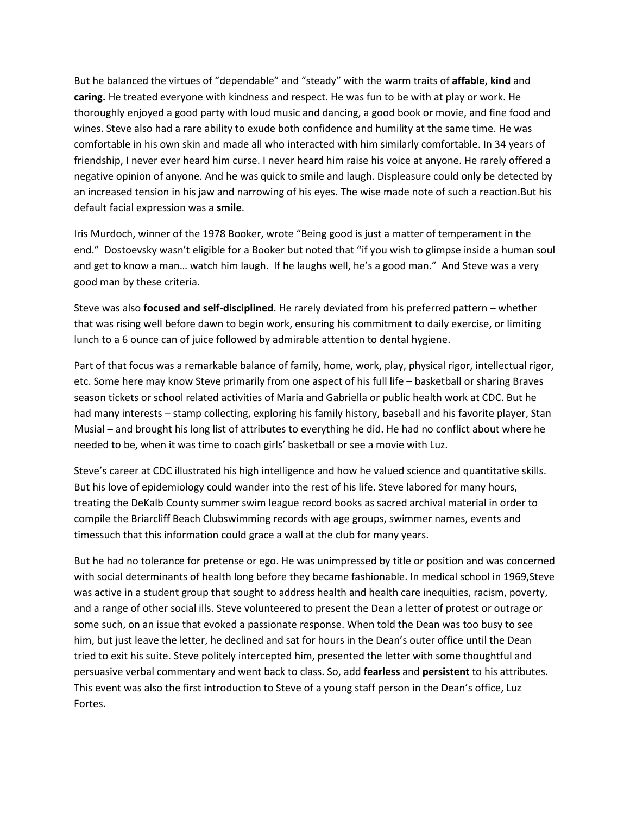But he balanced the virtues of "dependable" and "steady" with the warm traits of **affable**, **kind** and **caring.** He treated everyone with kindness and respect. He was fun to be with at play or work. He thoroughly enjoyed a good party with loud music and dancing, a good book or movie, and fine food and wines. Steve also had a rare ability to exude both confidence and humility at the same time. He was comfortable in his own skin and made all who interacted with him similarly comfortable. In 34 years of friendship, I never ever heard him curse. I never heard him raise his voice at anyone. He rarely offered a negative opinion of anyone. And he was quick to smile and laugh. Displeasure could only be detected by an increased tension in his jaw and narrowing of his eyes. The wise made note of such a reaction.But his default facial expression was a **smile**.

Iris Murdoch, winner of the 1978 Booker, wrote "Being good is just a matter of temperament in the end." Dostoevsky wasn't eligible for a Booker but noted that "if you wish to glimpse inside a human soul and get to know a man… watch him laugh. If he laughs well, he's a good man." And Steve was a very good man by these criteria.

Steve was also **focused and self-disciplined**. He rarely deviated from his preferred pattern – whether that was rising well before dawn to begin work, ensuring his commitment to daily exercise, or limiting lunch to a 6 ounce can of juice followed by admirable attention to dental hygiene.

Part of that focus was a remarkable balance of family, home, work, play, physical rigor, intellectual rigor, etc. Some here may know Steve primarily from one aspect of his full life – basketball or sharing Braves season tickets or school related activities of Maria and Gabriella or public health work at CDC. But he had many interests – stamp collecting, exploring his family history, baseball and his favorite player, Stan Musial – and brought his long list of attributes to everything he did. He had no conflict about where he needed to be, when it was time to coach girls' basketball or see a movie with Luz.

Steve's career at CDC illustrated his high intelligence and how he valued science and quantitative skills. But his love of epidemiology could wander into the rest of his life. Steve labored for many hours, treating the DeKalb County summer swim league record books as sacred archival material in order to compile the Briarcliff Beach Clubswimming records with age groups, swimmer names, events and timessuch that this information could grace a wall at the club for many years.

But he had no tolerance for pretense or ego. He was unimpressed by title or position and was concerned with social determinants of health long before they became fashionable. In medical school in 1969,Steve was active in a student group that sought to address health and health care inequities, racism, poverty, and a range of other social ills. Steve volunteered to present the Dean a letter of protest or outrage or some such, on an issue that evoked a passionate response. When told the Dean was too busy to see him, but just leave the letter, he declined and sat for hours in the Dean's outer office until the Dean tried to exit his suite. Steve politely intercepted him, presented the letter with some thoughtful and persuasive verbal commentary and went back to class. So, add **fearless** and **persistent** to his attributes. This event was also the first introduction to Steve of a young staff person in the Dean's office, Luz Fortes.